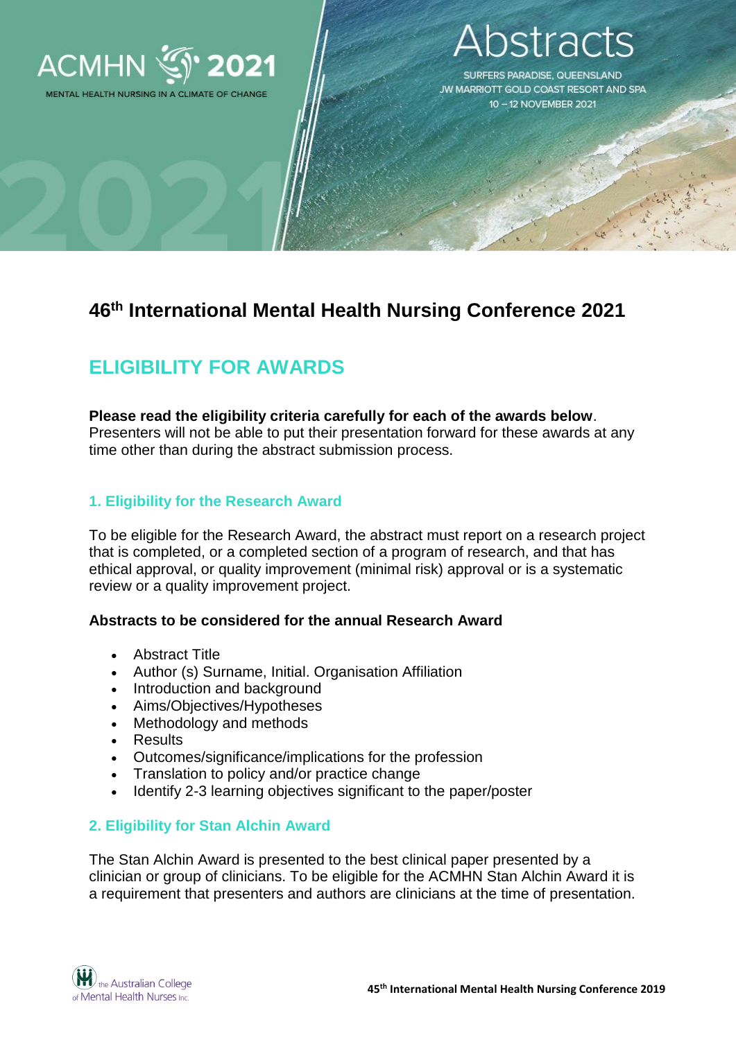

## **stracts**

**SURFERS PARADISE, QUEENSLAND** JW MARRIOTT GOLD COAST RESORT AND SPA 10-12 NOVEMBER 2021

### **46th International Mental Health Nursing Conference 2021**

## **ELIGIBILITY FOR AWARDS**

## **Please read the eligibility criteria carefully for each of the awards below**.

Presenters will not be able to put their presentation forward for these awards at any time other than during the abstract submission process.

### **1. Eligibility for the Research Award**

To be eligible for the Research Award, the abstract must report on a research project that is completed, or a completed section of a program of research, and that has ethical approval, or quality improvement (minimal risk) approval or is a systematic review or a quality improvement project.

### **Abstracts to be considered for the annual Research Award**

- Abstract Title
- Author (s) Surname, Initial. Organisation Affiliation
- Introduction and background
- Aims/Objectives/Hypotheses
- Methodology and methods
- Results
- Outcomes/significance/implications for the profession
- Translation to policy and/or practice change
- Identify 2-3 learning objectives significant to the paper/poster

### **2. Eligibility for Stan Alchin Award**

The Stan Alchin Award is presented to the best clinical paper presented by a clinician or group of clinicians. To be eligible for the ACMHN Stan Alchin Award it is a requirement that presenters and authors are clinicians at the time of presentation.

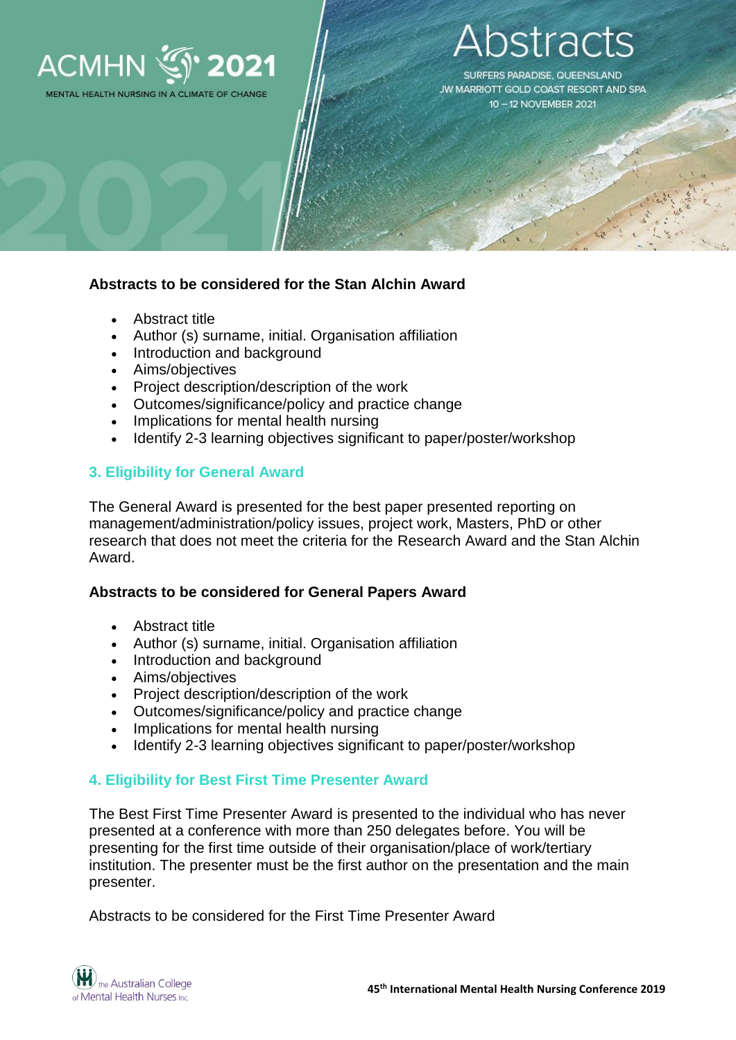

# stracts

**SURFERS PARADISE, QUEENSLAND** JW MARRIOTT GOLD COAST RESORT AND SPA 10-12 NOVEMBER 2021

### **Abstracts to be considered for the Stan Alchin Award**

- Abstract title
- Author (s) surname, initial. Organisation affiliation
- Introduction and background
- Aims/objectives
- Project description/description of the work
- Outcomes/significance/policy and practice change
- Implications for mental health nursing
- Identify 2-3 learning objectives significant to paper/poster/workshop

### **3. Eligibility for General Award**

The General Award is presented for the best paper presented reporting on management/administration/policy issues, project work, Masters, PhD or other research that does not meet the criteria for the Research Award and the Stan Alchin Award.

#### **Abstracts to be considered for General Papers Award**

- Abstract title
- Author (s) surname, initial. Organisation affiliation
- Introduction and background
- Aims/objectives
- Project description/description of the work
- Outcomes/significance/policy and practice change
- Implications for mental health nursing
- Identify 2-3 learning objectives significant to paper/poster/workshop

### **4. Eligibility for Best First Time Presenter Award**

The Best First Time Presenter Award is presented to the individual who has never presented at a conference with more than 250 delegates before. You will be presenting for the first time outside of their organisation/place of work/tertiary institution. The presenter must be the first author on the presentation and the main presenter.

Abstracts to be considered for the First Time Presenter Award

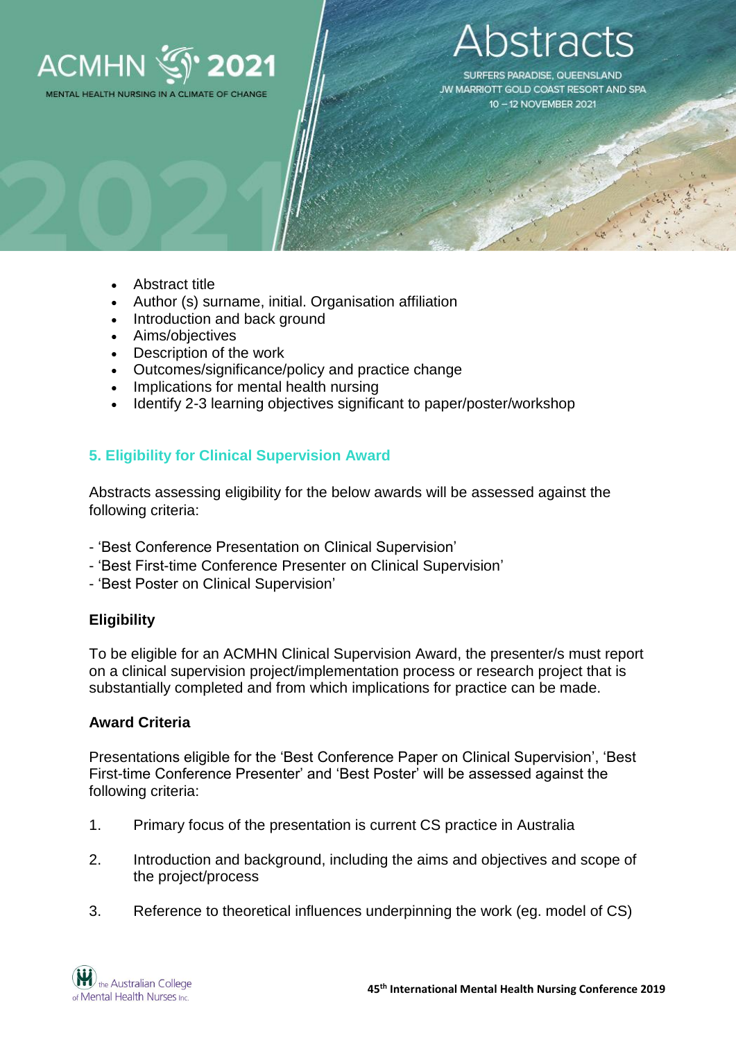

# stracts

SURFERS PARADISE, QUEENSLAND **JW MARRIOTT GOLD COAST RESORT AND SPA** 10-12 NOVEMBER 2021

- Abstract title
- Author (s) surname, initial. Organisation affiliation
- Introduction and back ground
- Aims/objectives
- Description of the work
- Outcomes/significance/policy and practice change
- Implications for mental health nursing
- Identify 2-3 learning objectives significant to paper/poster/workshop

### **5. Eligibility for Clinical Supervision Award**

Abstracts assessing eligibility for the below awards will be assessed against the following criteria:

- 'Best Conference Presentation on Clinical Supervision'
- 'Best First-time Conference Presenter on Clinical Supervision'
- 'Best Poster on Clinical Supervision'

### **Eligibility**

To be eligible for an ACMHN Clinical Supervision Award, the presenter/s must report on a clinical supervision project/implementation process or research project that is substantially completed and from which implications for practice can be made.

### **Award Criteria**

Presentations eligible for the 'Best Conference Paper on Clinical Supervision', 'Best First-time Conference Presenter' and 'Best Poster' will be assessed against the following criteria:

- 1. Primary focus of the presentation is current CS practice in Australia
- 2. Introduction and background, including the aims and objectives and scope of the project/process
- 3. Reference to theoretical influences underpinning the work (eg. model of CS)

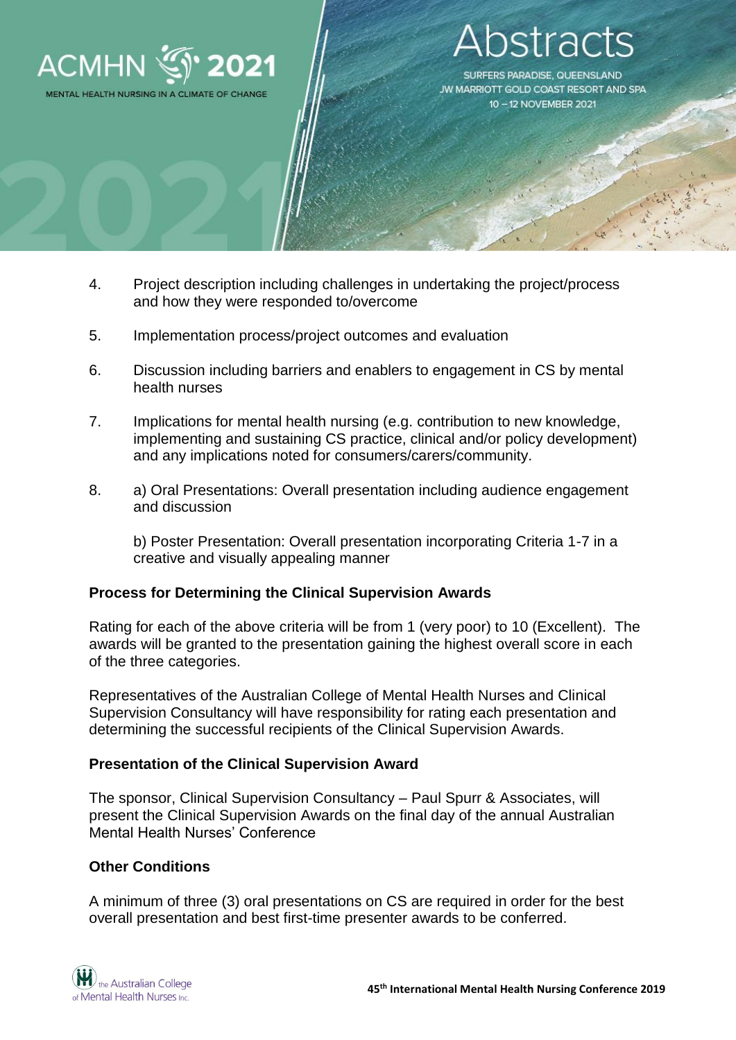

# stract

**SURFERS PARADISE, QUEENSLAND** JW MARRIOTT GOLD COAST RESORT AND SPA 10-12 NOVEMBER 2021

- 4. Project description including challenges in undertaking the project/process and how they were responded to/overcome
- 5. Implementation process/project outcomes and evaluation
- 6. Discussion including barriers and enablers to engagement in CS by mental health nurses
- 7. Implications for mental health nursing (e.g. contribution to new knowledge, implementing and sustaining CS practice, clinical and/or policy development) and any implications noted for consumers/carers/community.
- 8. a) Oral Presentations: Overall presentation including audience engagement and discussion

b) Poster Presentation: Overall presentation incorporating Criteria 1-7 in a creative and visually appealing manner

### **Process for Determining the Clinical Supervision Awards**

Rating for each of the above criteria will be from 1 (very poor) to 10 (Excellent). The awards will be granted to the presentation gaining the highest overall score in each of the three categories.

Representatives of the Australian College of Mental Health Nurses and Clinical Supervision Consultancy will have responsibility for rating each presentation and determining the successful recipients of the Clinical Supervision Awards.

### **Presentation of the Clinical Supervision Award**

The sponsor, Clinical Supervision Consultancy – Paul Spurr & Associates, will present the Clinical Supervision Awards on the final day of the annual Australian Mental Health Nurses' Conference

#### **Other Conditions**

A minimum of three (3) oral presentations on CS are required in order for the best overall presentation and best first-time presenter awards to be conferred.